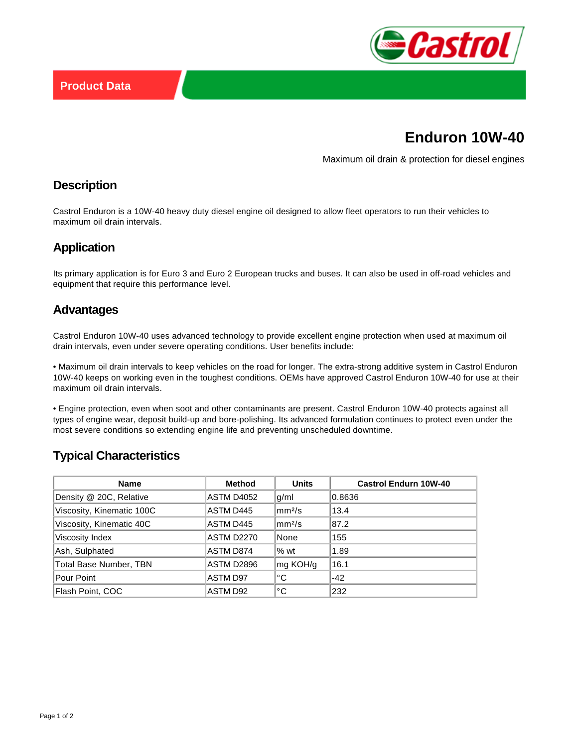

# **Enduron 10W-40**

Maximum oil drain & protection for diesel engines

## **Description**

Castrol Enduron is a 10W-40 heavy duty diesel engine oil designed to allow fleet operators to run their vehicles to maximum oil drain intervals.

## **Application**

Its primary application is for Euro 3 and Euro 2 European trucks and buses. It can also be used in off-road vehicles and equipment that require this performance level.

#### **Advantages**

Castrol Enduron 10W-40 uses advanced technology to provide excellent engine protection when used at maximum oil drain intervals, even under severe operating conditions. User benefits include:

• Maximum oil drain intervals to keep vehicles on the road for longer. The extra-strong additive system in Castrol Enduron 10W-40 keeps on working even in the toughest conditions. OEMs have approved Castrol Enduron 10W-40 for use at their maximum oil drain intervals.

• Engine protection, even when soot and other contaminants are present. Castrol Enduron 10W-40 protects against all types of engine wear, deposit build-up and bore-polishing. Its advanced formulation continues to protect even under the most severe conditions so extending engine life and preventing unscheduled downtime.

# **Typical Characteristics**

| <b>Name</b>                   | <b>Method</b> | <b>Units</b>         | <b>Castrol Endurn 10W-40</b> |
|-------------------------------|---------------|----------------------|------------------------------|
| Density @ 20C, Relative       | ASTM D4052    | g/ml                 | 0.8636                       |
| Viscosity, Kinematic 100C     | ASTM D445     | $\rm{mm}^{2}/\rm{s}$ | 13.4                         |
| Viscosity, Kinematic 40C      | ASTM D445     | $\rm  mm^2/s$        | 87.2                         |
| Viscosity Index               | ASTM D2270    | None                 | 155                          |
| Ash, Sulphated                | ASTM D874     | $%$ wt               | 1.89                         |
| <b>Total Base Number, TBN</b> | ASTM D2896    | mg KOH/g             | 16.1                         |
| Pour Point                    | ASTM D97      | °C                   | $-42$                        |
| Flash Point, COC              | ASTM D92      | °C                   | 232                          |